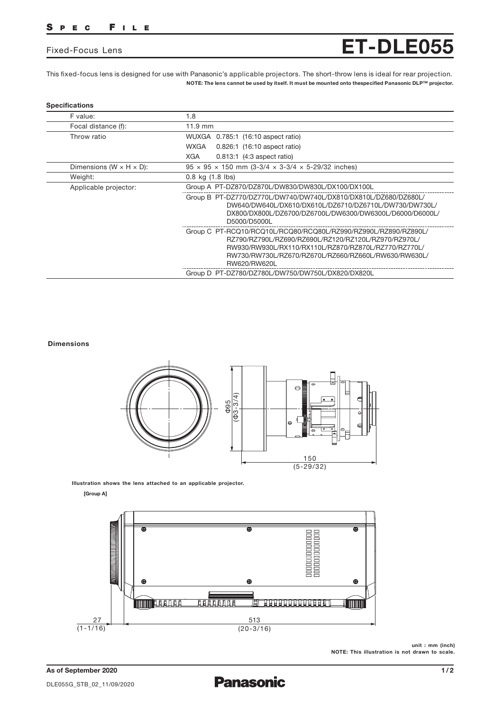## SPEC FILE

## Fixed-Focus Lens

This fixed-focus lens is designed for use with Panasonic's applicable projectors. The short-throw lens is ideal for rear projection. NOTE: The lens cannot be used by itself. It must be mounted onto thespecified Panasonic DLP™ projector.

| F value:                              | 1.8                                                                                                                                                                                                                                                     |
|---------------------------------------|---------------------------------------------------------------------------------------------------------------------------------------------------------------------------------------------------------------------------------------------------------|
| Focal distance (f):                   | $11.9$ mm                                                                                                                                                                                                                                               |
| Throw ratio                           | WUXGA 0.785:1 (16:10 aspect ratio)                                                                                                                                                                                                                      |
|                                       | WXGA<br>0.826:1 (16:10 aspect ratio)                                                                                                                                                                                                                    |
|                                       | <b>XGA</b><br>$0.813:1$ (4:3 aspect ratio)                                                                                                                                                                                                              |
| Dimensions (W $\times$ H $\times$ D): | $95 \times 95 \times 150$ mm (3-3/4 $\times$ 3-3/4 $\times$ 5-29/32 inches)                                                                                                                                                                             |
| Weight:                               | $0.8$ kg $(1.8$ lbs)                                                                                                                                                                                                                                    |
| Applicable projector:                 | Group A PT-DZ870/DZ870L/DW830/DW830L/DX100/DX100L                                                                                                                                                                                                       |
|                                       | Group B PT-DZ770/DZ770L/DW740/DW740L/DX810/DX810L/DZ680/DZ680L/<br>DW640/DW640L/DX610/DX610L/DZ6710/DZ6710L/DW730/DW730L/<br>DX800/DX800L/DZ6700/DZ6700L/DW6300/DW6300L/D6000/D6000L/<br>D5000/D5000L                                                   |
|                                       | Group C PT-RCQ10/RCQ10L/RCQ80/RCQ80L/RZ990/RZ990L/RZ890/RZ890L/<br>RZ790/RZ790L/RZ690/RZ690L/RZ120/RZ120L/RZ970/RZ970L/<br>RW930/RW930L/RX110/RX110L/RZ870/RZ870L/RZ770/RZ770L/<br>RW730/RW730L/RZ670/RZ670L/RZ660/RZ660L/RW630/RW630L/<br>RW620/RW620L |
|                                       | Group D PT-DZ780/DZ780L/DW750/DW750L/DX820/DX820L                                                                                                                                                                                                       |

#### Dimensions



Illustration shows the lens attached to an applicable projector.

[Group A]



unit : mm (inch) NOTE: This illustration is not drawn to scale.

ET-DLE055

**Panasonic**